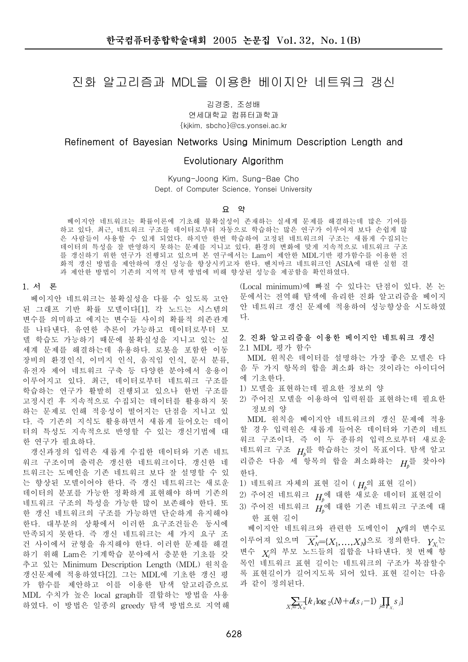# 진화 알고리즘과 MDL을 이용한 베이지안 네트워크 갱신

김경중, 조성배

연세대학교 컴퓨터과학과 {kikim, sbcho}@cs.yonsei.ac.kr

### Refinement of Bayesian Networks Using Minimum Description Length and

## Evolutionary Algorithm

Kyung-Joong Kim, Sung-Bae Cho Dept. of Computer Science, Yonsei University

#### 요 약

베이지안 네트워크는 확률이론에 기초해 불확실성이 존재하는 실세계 문제를 해결하는데 많은 기여를 하고 있다. 최근, 네트워크 구조를 데이터로부터 자동으로 학습하는 많은 연구가 이루어져 보다 손쉽게 많 은 사람들이 사용할 수 있게 되었다. 하지만 한번 학습하여 고정된 네트워크의 구조는 새롭게 수집되는 데이터의 특성을 잘 반영하지 못하는 문제를 지니고 있다. 환경의 변화에 맞게 지속적으로 네트워크 구조 를 갱신하기 위한 연구가 진행되고 있으며 본 연구에서는 Lam이 제안한 MDL기반 평가함수를 이용한 진 화적 갱신 방법을 제안하여 갱신 성능을 향상시키고자 한다. 벤치마크 네트워크인 ASIA에 대한 실험 결 .<br>과 제안한 방법이 기존의 지역적 탐색 방법에 비해 향상된 성능을 제공함을 확인하였다.

#### 1. 서 론

베이지안 네트워크는 불확실성을 다룰 수 있도록 고안 된 그래프 기반 확률 모델이다[1]. 각 노드는 시스템의 변수를 의미하고 에지는 변수들 사이의 확률적 의존관계 를 나타낸다. 유연한 추론이 가능하고 데이터로부터 모 델 학습도 가능하기 때문에 불확실성을 지니고 있는 실 세계 문제를 해결하는데 유용하다. 로봇을 포함한 이동 장비의 환경인식, 이미지 인식, 움직임 인식, 문서 분류, 유전자 제어 네트워크 구축 등 다양한 분야에서 응용이 이루어지고 있다. 최근, 데이터로부터 네트워크 구조를 학습하는 연구가 활발히 진행되고 있으나 한번 구조를 고정시킨 후 지속적으로 수집되는 데이터를 활용하지 못 하는 문제로 인해 적응성이 떨어지는 단점을 지니고 있 다. 즉 기존의 지식도 활용하면서 새롭게 들어오는 데이 터의 특성도 지속적으로 반영할 수 있는 갱신기법에 대 한 연구가 필요하다.

갱신과정의 입력은 새롭게 수집한 데이터와 기존 네트 워크 구조이며 출력은 갱신한 네트워크이다. 갱신한 네 트워크는 도메인을 기존 네트워크 보다 잘 설명할 수 있 는 향상된 모델이어야 한다. 즉 갱신 네트워크는 새로운 데이터의 분포를 가능한 정확하게 표현해야 하며 기존의 네트워크 구조의 특성을 가능한 많이 보존해야 한다. 또 한 갱신 네트워크의 구조를 가능하면 단순하게 유지해야 한다. 대부분의 상황에서 이러한 요구조건들은 동시에 만족되지 못한다. 즉 갱신 네트워크는 세 가지 요구 조 건 사이에서 균형을 유지해야 한다. 이러한 문제를 해결 하기 위해 Lam은 기계학습 분야에서 충분한 기초를 갖 추고 있는 Minimum Description Length (MDL) 원칙을 갱신문제에 적용하였다[2]. 그는 MDL에 기초한 갱신 평 가 함수를 제안하고 이를 이용한 탐색 알고리즘으로 MDL 수치가 높은 local graph를 결합하는 방법을 사용 하였다. 이 방법은 일종의 greedy 탐색 방법으로 지역해

(Local minimum)에 빠질 수 있다는 단점이 있다. 본 논 문에서는 전역해 탐색에 유리한 진화 알고리즘을 베이지 안 네트워크 갱신 문제에 적용하여 성능향상을 시도하였 다.

#### 2. 진화 알고리즘을 이용한 베이지안 네트워크 갱신

2.1 MDL 평가 함수

MDL 원칙은 데이터를 설명하는 가장 좋은 모델은 다 음 두 가지 항목의 합을 최소화 하는 것이라는 아이디어 에 기초한다.

- 1) 모델을 표현하는데 필요한 정보의 양
- 2) 주어진 모델을 이용하여 입력원를 표현하는데 필요한 정보의 양

MDL 원칙을 베이지안 네트워크의 갱신 문제에 적용 할 경우 입력원은 새롭게 들어온 데이터와 기존의 네트 워크 구조이다. 즉 이 두 종류의 입력으로부터 새로운 네트워크 구조  $H_{\!\scriptscriptstyle\! p}$ 를 학습하는 것이 목표이다. 탐색 알고 리즘은 다음 세 항목의 합을 최소화하는  $H_p^{\frac{2}{5}}$  찾아야 한다.

- 1) 네트워크 자체의 표현 길이 ( $H_p$ 의 표현 길이)
- 2) 주어진 네트워크  $H_{\!p}$ 에 대한 새로운 데이터 표현길이
- 3) 주어진 네트워크  $H_p$ 에 대한 기존 네트워크 구조에 대 한 표현 길이

베이지안 네트워크와 관련한 도메인이  $N^{\eta}$ 의 변수로 이루어져 있으며  $X_N\!\!=\!\!\{X_1,\!..., \!X_N\!\}$ 으로 정의한다.  $Y_{X_i}$ 는 변수  $X_i$ 의 부모 노드들의 집합을 나타낸다. 첫 번째 항 목인 네트워크 표현 길이는 네트워크의 구조가 복잡할수 록 표현길이가 길어지도록 되어 있다. 표현 길이는 다음 과 같이 정의된다.

$$
\sum_{X_i \in X_N} [k_i \log \, _2(N) + d(s_i - 1) \prod_{j \in Y_{X_i}} s_j]
$$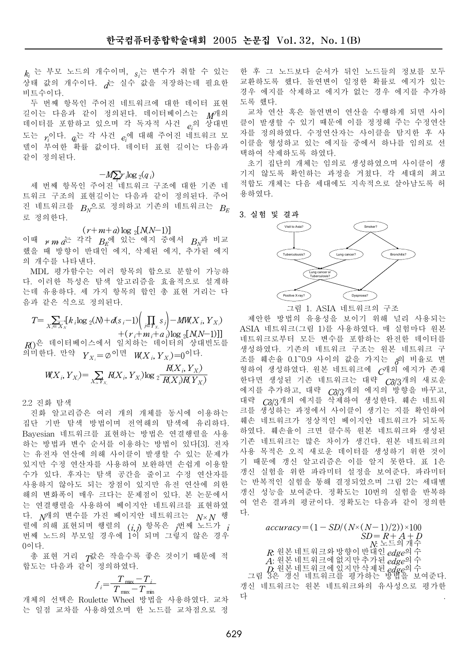$\left. \right. \right. k_{i} \, \stackrel{L}{\leftarrow} \,$  부모 노드의 개수이며,  $\left. \right. s_{i}$ 는 변수가 취할 수 있는 상태 값의 개수이다. た 실수 값을 저장하는데 필요한 비트수이다.

두 번째 항목인 주어진 네트워크에 대한 데이터 표현 길이는 다음과 같이 정의된다. 데이터베이스는 M개의 데이터를 포함하고 있으며 각 독자적 사건  $e_i$ 의 상대빈 도는  $r_{i}$ 이다.  $q_{i}$ 는 각 사건  $e_{i}$ 에 대해 주어진 네트워크 모 델이 부여한 확률 값이다. 데이터 표현 길이는 다음과 같이 정의된다.

## $-M\sum_i r_i \log_2(q_i)$

<u>세 번째 항목인 주어진 네트워크 구조에 대한 기존 네</u> 트워크 구조의 표현길이는 다음과 같이 정의된다. 주어 진 네트워크를  $B_N$ 으로 정의하고 기존의 네트워크는  $B_E$ 로 정의한다.

$$
(r+m+a)\log_2[N(N-1)]
$$

이때  $r m a$ 는 각각  $B_E$ 에 있는 에지 중에서  $B_N$ 과 비교 했을 때 방향이 반대인 에지, 삭제된 에지, 추가된 에지 의 개수를 나타낸다.

MDL 평가함수는 여러 항목의 합으로 분할이 가능하 다. 이러한 특성은 탐색 알고리즘을 효율적으로 설계하 는데 유용하다. 세 가지 항목의 합인 총 표현 거리는 다 음과 같은 식으로 정의된다.

$$
T = \sum_{X_i \in X_N} [k_i \log_2(N) + d(s_i - 1) \left( \prod_{j \in \mathcal{F}_{X_i}} s_j \right) - M W(X_i, Y_{X_i}) + (r_i + m_i + a_i) \log_2[N(N-1)]]
$$

 $R$ )은 데이터베이스에서 일치하는 데이터의 상대빈도를 의미한다. 만약  $\; Y_{X_i} \! = \! \varphi^{\,\mathsf{ol}}$ 면  $\; W\!{(X_i, Y_{X_i})} \! = \! 0^{\,\mathsf{ol}}$ 다.

$$
\mathit{W}\!\!|X_i,Y_X\rangle\!=\!\sum_{X_i,Y_X}\!\!R\!\langle X_i,Y_X\rangle\!\log2\frac{R\!\langle X_i,Y_X\rangle}{R\!\langle X_i\rangle\!R\!\langle Y_X\rangle}
$$

2.2 진화 탐색

진화 알고리즘은 여러 개의 개체를 동시에 이용하는 집단 기반 탐색 방법이며 전역해의 탐색에 유리하다. Bayesian 네트워크를 표현하는 방법은 연결행렬을 사용 하는 방법과 변수 순서를 이용하는 방법이 있다[3] 전자 는 유전자 연산에 의해 사이클이 발생할 수 있는 문제가 있지만 수정 연산자를 사용하여 보완하면 손쉽게 이용할 수가 있다. 후자는 탐색 공간을 줄이고 수정 연산자를 사용하지 않아도 되는 장점이 있지만 유전 연산에 의한 해의 변화폭이 매우 크다는 문제점이 있다. 본 논문에서 는 연결행렬을 사용하여 베이지안 네트워크를 표현하였 다.  $N^{1/4}$  변수를 가진 베이지안 네트워크는  $N \times N$  행 렬에 의해 표현되며 행렬의  $(i,j)$  항목은  $j$ 번째 노드가  $j$ 번째 노드의 부모일 경우에 1이 되며 그렇지 않은 경우 0이다.

총 표현 거리 T값은 작을수록 좋은 것이기 때문에 적 합도는 다음과 같이 정의하였다.

$$
f_i = \frac{T_{\text{max}} - T_i}{T_{\text{max}} - T_{\text{min}}}
$$

개체의 선택은 Roulette Wheel 방법을 사용하였다. 교차 는 일점 교차를 사용하였으며 한 노드를 교차점으로 정

한 후 그 노드보다 순서가 뒤인 노드들의 정보를 모두 교환하도록 했다. 돌연변이 일정한 확률로 에지가 있는 경우 에지를 삭제하고 에지가 없는 경우 에지를 추가하 도록 해다.

교차 연산 혹은 돌연변이 연산을 수행하게 되면 사이 클이 발생할 수 있기 때문에 이를 정정해 주는 수정연산 자를 정의하였다. 수정연산자는 사이클을 탐지한 후 사 이클을 형성하고 있는 에지들 중에서 하나를 임의로 선 택하여 삭제하도록 하였다.

초기 집단의 개체는 임의로 생성하였으며 사이클이 생 기지 않도록 확인하는 과정을 거쳤다. 각 세대의 최고 적합도 개체는 다음 세대에도 지속적으로 살아남도록 허 용하였다.

#### 3. 실험 및 결과



그림 1. ASIA 네트워크의 구조

제안한 방법의 유용성을 보이기 위해 널리 사용되는 ASIA 네트워크(그림 1)를 사용하였다. 매 실험마다 원본 네트워크로부터 모든 변수를 포함하는 완전한 데이터를 생성하였다. 기존의 네트워크 구조는 원본 네트워크 구 조를 훼손율 0.1~0.9 사이의 값을 가지는 <sub>6</sub>의 비율로 변 형하여 생성하였다. 원본 네트워크에 U캐의 에지가 존재 한다면 생성된 기존 네트워크는 대략 C8/3개의 새로운 에지를 추가하고, 대략  $C\delta/3$ 개의 에지의 방향을 바꾸고, 대략  $C\delta/3$ 개의 에지를 삭제하여 생성한다. 훼손 네트워 크를 생성하는 과정에서 사이클이 생기는 지를 확인하여 훼손 네트워크가 정상적인 베이지안 네트워크가 되도록 하였다. 훼손율이 크면 클수록 원본 네트워크와 생성된 기존 네트워크는 많은 차이가 생긴다. 원본 네트워크의 사용 목적은 오직 새로운 데이터를 생성하기 위한 것이 기 때문에 갱신 알고리즘은 이를 알지 못한다. 표 1은 갱신 실험을 위한 파라미터 설정을 보여준다. 파라미터 는 반복적인 실험을 통해 결정되었으며 그림 2는 세대별 갱신 성능을 보여준다. 정확도는 10번의 실험을 반복하 여 얻은 결과의 평균이다. 정확도는 다음과 같이 정의한 다

 $accuracy = (1 - SD/(N \times (N-1)/2)) \times 100$  $SD = R + A + D$  $N = 9$ 개주  $R$ . 원본 네트워크와 방향이 반대인  $_{\it edge}$ 의 수 A: 足는 ¨ㅡ¨;ㅡ¨; > > > > ;<br>A: 원본 네트워크에 없지만 추가된 *edge*의 수 A: 난 - 미그 미그 게 없어 난 구거 난 eage-1 |<br>Ⅰ. 원본 네트워크에 있지만 삭제된 edge의 수<br>그림 3은 갱신 네트워크를 평가하는 방볍을 보여준다. 갱신 네트워크는 원본 네트워크와의 유사성으로 평가한 다 - 대한민국의 대학 대학 대학 대학 대학 대학 대학 대학 대학 대학 대학